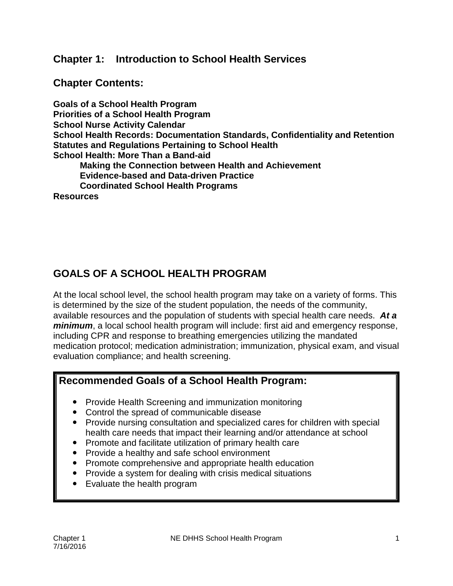#### **Chapter 1: Introduction to School Health Services**

#### **Chapter Contents:**

**Goals of a School Health Program Priorities of a School Health Program School Nurse Activity Calendar School Health Records: Documentation Standards, Confidentiality and Retention Statutes and Regulations Pertaining to School Health School Health: More Than a Band-aid Making the Connection between Health and Achievement Evidence-based and Data-driven Practice Coordinated School Health Programs** 

**Resources** 

# **GOALS OF A SCHOOL HEALTH PROGRAM**

At the local school level, the school health program may take on a variety of forms. This is determined by the size of the student population, the needs of the community, available resources and the population of students with special health care needs. *At a minimum*, a local school health program will include: first aid and emergency response, including CPR and response to breathing emergencies utilizing the mandated medication protocol; medication administration; immunization, physical exam, and visual evaluation compliance; and health screening.

## **Recommended Goals of a School Health Program:**

- Provide Health Screening and immunization monitoring
- Control the spread of communicable disease
- Provide nursing consultation and specialized cares for children with special health care needs that impact their learning and/or attendance at school
- Promote and facilitate utilization of primary health care
- Provide a healthy and safe school environment
- Promote comprehensive and appropriate health education
- Provide a system for dealing with crisis medical situations
- Evaluate the health program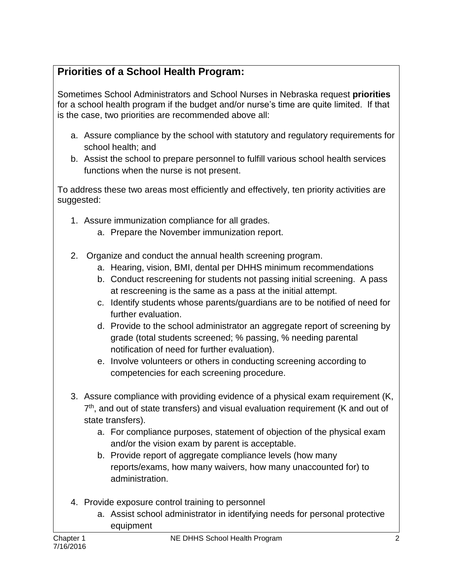# **Priorities of a School Health Program:**

Sometimes School Administrators and School Nurses in Nebraska request **priorities**  for a school health program if the budget and/or nurse's time are quite limited. If that is the case, two priorities are recommended above all:

- a. Assure compliance by the school with statutory and regulatory requirements for school health; and
- b. Assist the school to prepare personnel to fulfill various school health services functions when the nurse is not present.

To address these two areas most efficiently and effectively, ten priority activities are suggested:

- 1. Assure immunization compliance for all grades.
	- a. Prepare the November immunization report.
- 2. Organize and conduct the annual health screening program.
	- a. Hearing, vision, BMI, dental per DHHS minimum recommendations
	- b. Conduct rescreening for students not passing initial screening. A pass at rescreening is the same as a pass at the initial attempt.
	- c. Identify students whose parents/guardians are to be notified of need for further evaluation.
	- d. Provide to the school administrator an aggregate report of screening by grade (total students screened; % passing, % needing parental notification of need for further evaluation).
	- e. Involve volunteers or others in conducting screening according to competencies for each screening procedure.
- 3. Assure compliance with providing evidence of a physical exam requirement (K, 7<sup>th</sup>, and out of state transfers) and visual evaluation requirement (K and out of state transfers).
	- a. For compliance purposes, statement of objection of the physical exam and/or the vision exam by parent is acceptable.
	- b. Provide report of aggregate compliance levels (how many reports/exams, how many waivers, how many unaccounted for) to administration.
- 4. Provide exposure control training to personnel
	- a. Assist school administrator in identifying needs for personal protective equipment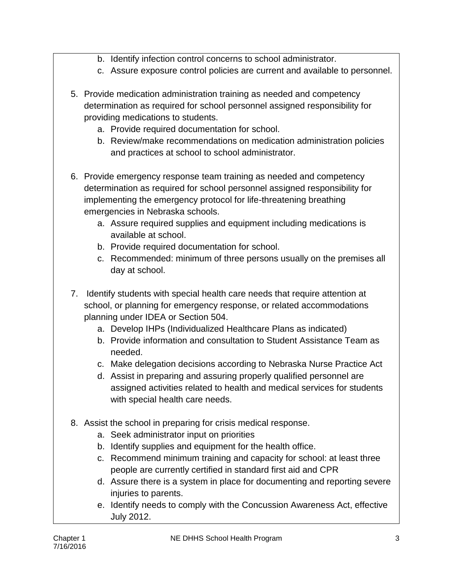- b. Identify infection control concerns to school administrator.
- c. Assure exposure control policies are current and available to personnel.
- 5. Provide medication administration training as needed and competency determination as required for school personnel assigned responsibility for providing medications to students.
	- a. Provide required documentation for school.
	- b. Review/make recommendations on medication administration policies and practices at school to school administrator.
- 6. Provide emergency response team training as needed and competency determination as required for school personnel assigned responsibility for implementing the emergency protocol for life-threatening breathing emergencies in Nebraska schools.
	- a. Assure required supplies and equipment including medications is available at school.
	- b. Provide required documentation for school.
	- c. Recommended: minimum of three persons usually on the premises all day at school.
- 7. Identify students with special health care needs that require attention at school, or planning for emergency response, or related accommodations planning under IDEA or Section 504.
	- a. Develop IHPs (Individualized Healthcare Plans as indicated)
	- b. Provide information and consultation to Student Assistance Team as needed.
	- c. Make delegation decisions according to Nebraska Nurse Practice Act
	- d. Assist in preparing and assuring properly qualified personnel are assigned activities related to health and medical services for students with special health care needs.
- 8. Assist the school in preparing for crisis medical response.
	- a. Seek administrator input on priorities
	- b. Identify supplies and equipment for the health office.
	- c. Recommend minimum training and capacity for school: at least three people are currently certified in standard first aid and CPR
	- d. Assure there is a system in place for documenting and reporting severe injuries to parents.
	- e. Identify needs to comply with the Concussion Awareness Act, effective July 2012.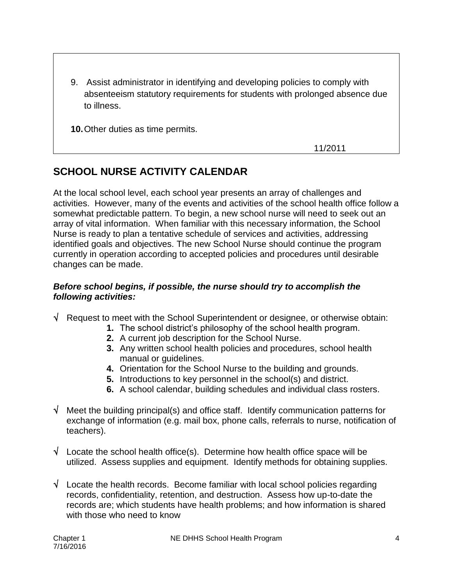9. Assist administrator in identifying and developing policies to comply with absenteeism statutory requirements for students with prolonged absence due to illness.

**10.**Other duties as time permits.

11/2011

# **SCHOOL NURSE ACTIVITY CALENDAR**

At the local school level, each school year presents an array of challenges and activities. However, many of the events and activities of the school health office follow a somewhat predictable pattern. To begin, a new school nurse will need to seek out an array of vital information. When familiar with this necessary information, the School Nurse is ready to plan a tentative schedule of services and activities, addressing identified goals and objectives. The new School Nurse should continue the program currently in operation according to accepted policies and procedures until desirable changes can be made.

#### *Before school begins, if possible, the nurse should try to accomplish the following activities:*

- $\sqrt{\phantom{a}}$  Request to meet with the School Superintendent or designee, or otherwise obtain:
	- **1.** The school district's philosophy of the school health program.
	- **2.** A current job description for the School Nurse.
	- **3.** Any written school health policies and procedures, school health manual or guidelines.
	- **4.** Orientation for the School Nurse to the building and grounds.
	- **5.** Introductions to key personnel in the school(s) and district.
	- **6.** A school calendar, building schedules and individual class rosters.
- $\sqrt{ }$  Meet the building principal(s) and office staff. Identify communication patterns for exchange of information (e.g. mail box, phone calls, referrals to nurse, notification of teachers).
- $\sqrt{\phantom{a}}$  Locate the school health office(s). Determine how health office space will be utilized. Assess supplies and equipment. Identify methods for obtaining supplies.
- $\sqrt{\phantom{a}}$  Locate the health records. Become familiar with local school policies regarding records, confidentiality, retention, and destruction. Assess how up-to-date the records are; which students have health problems; and how information is shared with those who need to know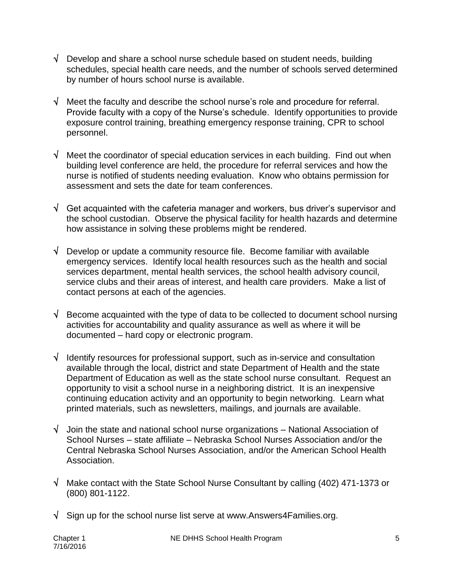- $\sqrt{\phantom{a}}$  Develop and share a school nurse schedule based on student needs, building schedules, special health care needs, and the number of schools served determined by number of hours school nurse is available.
- $\sqrt{\phantom{a}}$  Meet the faculty and describe the school nurse's role and procedure for referral. Provide faculty with a copy of the Nurse's schedule. Identify opportunities to provide exposure control training, breathing emergency response training, CPR to school personnel.
- $\sqrt{ }$  Meet the coordinator of special education services in each building. Find out when building level conference are held, the procedure for referral services and how the nurse is notified of students needing evaluation. Know who obtains permission for assessment and sets the date for team conferences.
- $\sqrt{\phantom{a}}$  Get acquainted with the cafeteria manager and workers, bus driver's supervisor and the school custodian. Observe the physical facility for health hazards and determine how assistance in solving these problems might be rendered.
- $\sqrt{\phantom{a}}$  Develop or update a community resource file. Become familiar with available emergency services. Identify local health resources such as the health and social services department, mental health services, the school health advisory council, service clubs and their areas of interest, and health care providers. Make a list of contact persons at each of the agencies.
- $\sqrt{\phantom{a}}$  Become acquainted with the type of data to be collected to document school nursing activities for accountability and quality assurance as well as where it will be documented – hard copy or electronic program.
- $\sqrt{\phantom{a}}$  Identify resources for professional support, such as in-service and consultation available through the local, district and state Department of Health and the state Department of Education as well as the state school nurse consultant. Request an opportunity to visit a school nurse in a neighboring district. It is an inexpensive continuing education activity and an opportunity to begin networking. Learn what printed materials, such as newsletters, mailings, and journals are available.
- $\sqrt{\phantom{a}}$  Join the state and national school nurse organizations National Association of School Nurses – state affiliate – Nebraska School Nurses Association and/or the Central Nebraska School Nurses Association, and/or the American School Health Association.
- $\sqrt{ }$  Make contact with the State School Nurse Consultant by calling (402) 471-1373 or (800) 801-1122.
- $\sqrt{\phantom{a}}$  Sign up for the school nurse list serve at www.Answers4Families.org.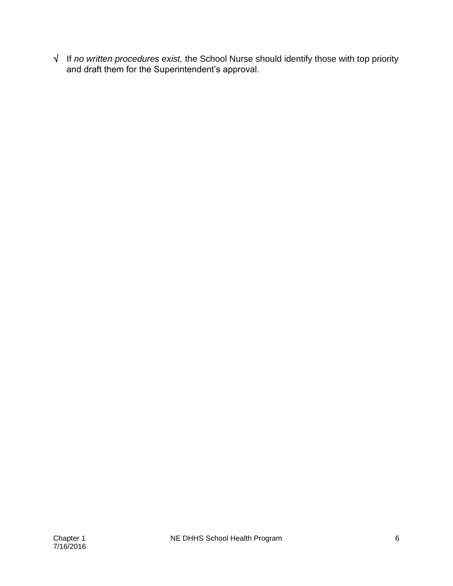If *no written procedures exist,* the School Nurse should identify those with top priority and draft them for the Superintendent's approval.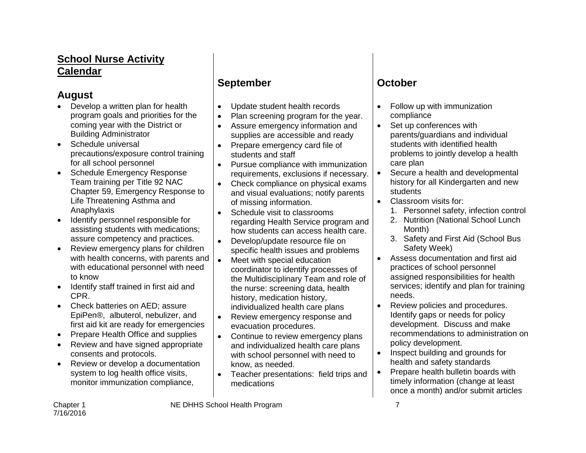## **School Nurse Activity Calendar**

#### **August**

- Develop a written plan for health program goals and priorities for the coming year with the District or Building Administrator
- Schedule universal precautions/exposure control training for all school personnel
- Schedule Emergency Response Team training per Title 92 NAC Chapter 59, Emergency Response to Life Threatening Asthma and Anaphylaxis
- Identify personnel responsible for assisting students with medications; assure competency and practices.
- Review emergency plans for children with health concerns, with parents and with educational personnel with need to know
- Identify staff trained in first aid and CPR.
- Check batteries on AED; assure EpiPen®, albuterol, nebulizer, and first aid kit are ready for emergencies
- Prepare Health Office and supplies
- Review and have signed appropriate consents and protocols.
- Review or develop a documentation system to log health office visits, monitor immunization compliance,

## **September October**

- Update student health records
- Plan screening program for the year.
- Assure emergency information and supplies are accessible and ready
- Prepare emergency card file of students and staff
- Pursue compliance with immunization requirements, exclusions if necessary.
- Check compliance on physical exams and visual evaluations; notify parents of missing information.
- Schedule visit to classrooms regarding Health Service program and how students can access health care.
- Develop/update resource file on specific health issues and problems
- Meet with special education coordinator to identify processes of the Multidisciplinary Team and role of the nurse: screening data, health history, medication history, individualized health care plans
- Review emergency response and evacuation procedures.
- Continue to review emergency plans and individualized health care plans with school personnel with need to know, as needed.
- Teacher presentations: field trips and medications

- Follow up with immunization compliance
- Set up conferences with parents/guardians and individual students with identified health problems to jointly develop a health care plan
- Secure a health and developmental history for all Kindergarten and new students
- Classroom visits for:
	- 1. Personnel safety, infection control
	- 2. Nutrition (National School Lunch Month)
	- 3. Safety and First Aid (School Bus Safety Week)
- Assess documentation and first aid practices of school personnel assigned responsibilities for health services; identify and plan for training needs.
- Review policies and procedures. Identify gaps or needs for policy development. Discuss and make recommendations to administration on policy development.
- Inspect building and grounds for health and safety standards
- Prepare health bulletin boards with timely information (change at least once a month) and/or submit articles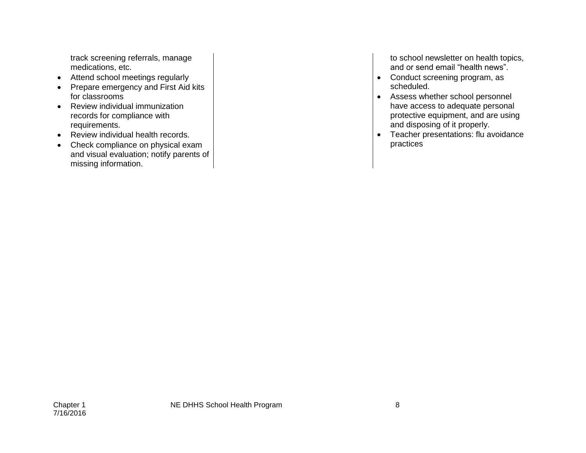track screening referrals, manage medications, etc.

- Attend school meetings regularly
- Prepare emergency and First Aid kits for classrooms
- Review individual immunization records for compliance with requirements.
- Review individual health records.
- Check compliance on physical exam and visual evaluation; notify parents of missing information.

to school newsletter on health topics, and or send email "health news".

- Conduct screening program, as scheduled.
- Assess whether school personnel have access to adequate personal protective equipment, and are using and disposing of it properly.
- Teacher presentations: flu avoidance practices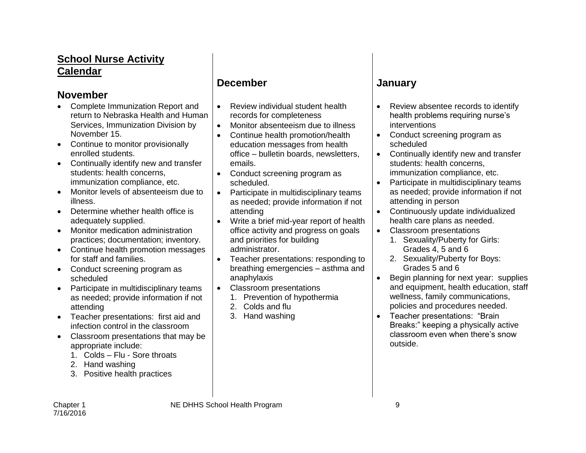## **School Nurse Activity Calendar**

#### **November**

- Complete Immunization Report and return to Nebraska Health and Human Services, Immunization Division by November 15.
- Continue to monitor provisionally enrolled students.
- Continually identify new and transfer students: health concerns, immunization compliance, etc.
- Monitor levels of absenteeism due to illness.
- Determine whether health office is adequately supplied.
- Monitor medication administration practices; documentation; inventory.
- Continue health promotion messages for staff and families.
- Conduct screening program as scheduled
- Participate in multidisciplinary teams as needed; provide information if not attending
- Teacher presentations: first aid and infection control in the classroom
- Classroom presentations that may be appropriate include:
	- 1. Colds Flu Sore throats
	- 2. Hand washing
	- 3. Positive health practices

#### **December January**

- Review individual student health records for completeness
- Monitor absenteeism due to illness
- Continue health promotion/health education messages from health office – bulletin boards, newsletters, emails.
- Conduct screening program as scheduled.
- Participate in multidisciplinary teams as needed; provide information if not attending
- Write a brief mid-year report of health office activity and progress on goals and priorities for building administrator.
- Teacher presentations: responding to breathing emergencies – asthma and anaphylaxis
- Classroom presentations
	- 1. Prevention of hypothermia
	- 2. Colds and flu
	- 3. Hand washing

- Review absentee records to identify health problems requiring nurse's interventions
- Conduct screening program as scheduled
- Continually identify new and transfer students: health concerns, immunization compliance, etc.
- Participate in multidisciplinary teams as needed; provide information if not attending in person
- Continuously update individualized health care plans as needed.
- Classroom presentations
	- 1. Sexuality/Puberty for Girls: Grades 4, 5 and 6
	- 2. Sexuality/Puberty for Boys: Grades 5 and 6
- Begin planning for next year: supplies and equipment, health education, staff wellness, family communications, policies and procedures needed.
- Teacher presentations: "Brain Breaks:" keeping a physically active classroom even when there's snow outside.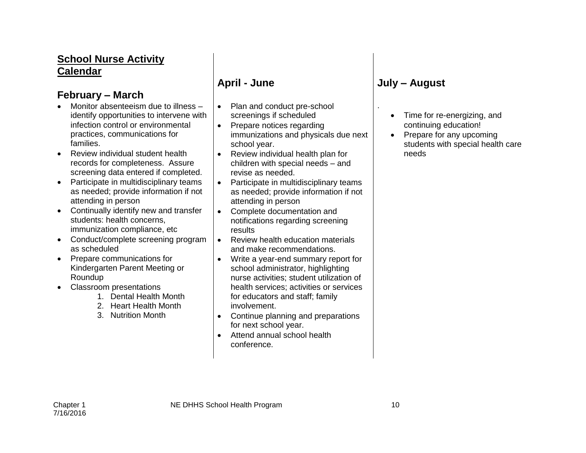## **School Nurse Activity Calendar**

#### **February – March**

- Monitor absenteeism due to illness identify opportunities to intervene with infection control or environmental practices, communications for families.
- Review individual student health records for completeness. Assure screening data entered if completed.
- Participate in multidisciplinary teams as needed; provide information if not attending in person
- Continually identify new and transfer students: health concerns, immunization compliance, etc
- Conduct/complete screening program as scheduled
- Prepare communications for Kindergarten Parent Meeting or Roundup
- Classroom presentations
	- 1. Dental Health Month
	- 2. Heart Health Month
	- 3. Nutrition Month

- Plan and conduct pre-school screenings if scheduled
- Prepare notices regarding immunizations and physicals due next school year.
- Review individual health plan for children with special needs – and revise as needed.
- Participate in multidisciplinary teams as needed; provide information if not attending in person
- Complete documentation and notifications regarding screening results
- Review health education materials and make recommendations.
- Write a year-end summary report for school administrator, highlighting nurse activities; student utilization of health services; activities or services for educators and staff; family involvement.
- Continue planning and preparations for next school year.
- Attend annual school health conference.

# **April - June July – August**

- Time for re-energizing, and continuing education!
- Prepare for any upcoming students with special health care needs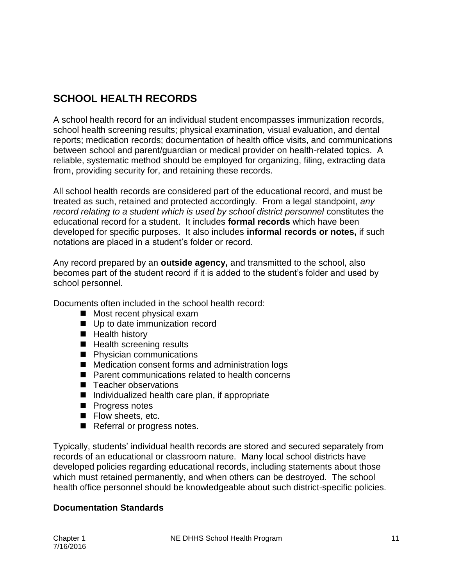# **SCHOOL HEALTH RECORDS**

A school health record for an individual student encompasses immunization records, school health screening results; physical examination, visual evaluation, and dental reports; medication records; documentation of health office visits, and communications between school and parent/guardian or medical provider on health-related topics. A reliable, systematic method should be employed for organizing, filing, extracting data from, providing security for, and retaining these records.

All school health records are considered part of the educational record, and must be treated as such, retained and protected accordingly. From a legal standpoint, *any record relating to a student which is used by school district personnel* constitutes the educational record for a student. It includes **formal records** which have been developed for specific purposes. It also includes **informal records or notes,** if such notations are placed in a student's folder or record.

Any record prepared by an **outside agency,** and transmitted to the school, also becomes part of the student record if it is added to the student's folder and used by school personnel.

Documents often included in the school health record:

- Most recent physical exam
- Up to date immunization record
- **Health history**
- Health screening results
- **Physician communications**
- Medication consent forms and administration logs
- Parent communications related to health concerns
- Teacher observations
- $\blacksquare$  Individualized health care plan, if appropriate
- **Progress notes**
- **Flow sheets, etc.**
- Referral or progress notes.

Typically, students' individual health records are stored and secured separately from records of an educational or classroom nature. Many local school districts have developed policies regarding educational records, including statements about those which must retained permanently, and when others can be destroyed. The school health office personnel should be knowledgeable about such district-specific policies.

#### **Documentation Standards**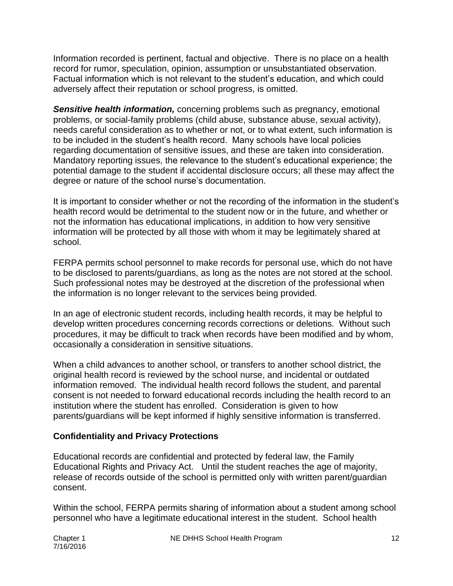Information recorded is pertinent, factual and objective. There is no place on a health record for rumor, speculation, opinion, assumption or unsubstantiated observation. Factual information which is not relevant to the student's education, and which could adversely affect their reputation or school progress, is omitted.

*Sensitive health information,* concerning problems such as pregnancy, emotional problems, or social-family problems (child abuse, substance abuse, sexual activity), needs careful consideration as to whether or not, or to what extent, such information is to be included in the student's health record. Many schools have local policies regarding documentation of sensitive issues, and these are taken into consideration. Mandatory reporting issues, the relevance to the student's educational experience; the potential damage to the student if accidental disclosure occurs; all these may affect the degree or nature of the school nurse's documentation.

It is important to consider whether or not the recording of the information in the student's health record would be detrimental to the student now or in the future, and whether or not the information has educational implications, in addition to how very sensitive information will be protected by all those with whom it may be legitimately shared at school.

FERPA permits school personnel to make records for personal use, which do not have to be disclosed to parents/guardians, as long as the notes are not stored at the school. Such professional notes may be destroyed at the discretion of the professional when the information is no longer relevant to the services being provided.

In an age of electronic student records, including health records, it may be helpful to develop written procedures concerning records corrections or deletions. Without such procedures, it may be difficult to track when records have been modified and by whom, occasionally a consideration in sensitive situations.

When a child advances to another school, or transfers to another school district, the original health record is reviewed by the school nurse, and incidental or outdated information removed. The individual health record follows the student, and parental consent is not needed to forward educational records including the health record to an institution where the student has enrolled. Consideration is given to how parents/guardians will be kept informed if highly sensitive information is transferred.

#### **Confidentiality and Privacy Protections**

Educational records are confidential and protected by federal law, the Family Educational Rights and Privacy Act. Until the student reaches the age of majority, release of records outside of the school is permitted only with written parent/guardian consent.

Within the school, FERPA permits sharing of information about a student among school personnel who have a legitimate educational interest in the student. School health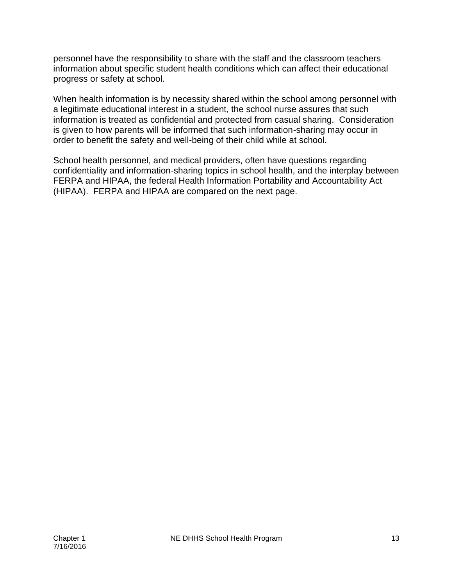personnel have the responsibility to share with the staff and the classroom teachers information about specific student health conditions which can affect their educational progress or safety at school.

When health information is by necessity shared within the school among personnel with a legitimate educational interest in a student, the school nurse assures that such information is treated as confidential and protected from casual sharing. Consideration is given to how parents will be informed that such information-sharing may occur in order to benefit the safety and well-being of their child while at school.

School health personnel, and medical providers, often have questions regarding confidentiality and information-sharing topics in school health, and the interplay between FERPA and HIPAA, the federal Health Information Portability and Accountability Act (HIPAA). FERPA and HIPAA are compared on the next page.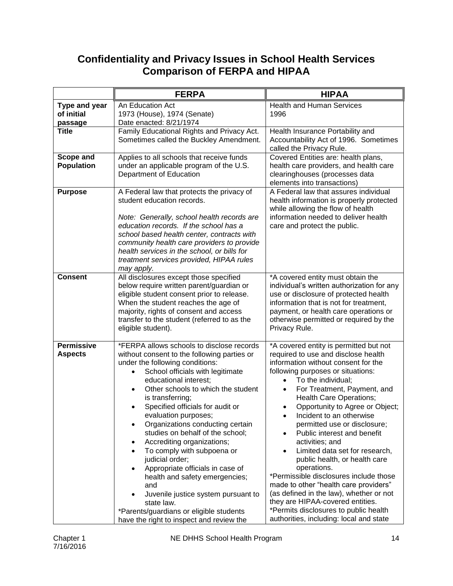# **Confidentiality and Privacy Issues in School Health Services Comparison of FERPA and HIPAA**

|                                        | <b>FERPA</b>                                                                                                                                                                                                                                                                                                                                                                                                                                                                                                                                                                                                                                                                                                                  | <b>HIPAA</b>                                                                                                                                                                                                                                                                                                                                                                                                                                                                                                                                                                                                                                                                                                                                                                   |
|----------------------------------------|-------------------------------------------------------------------------------------------------------------------------------------------------------------------------------------------------------------------------------------------------------------------------------------------------------------------------------------------------------------------------------------------------------------------------------------------------------------------------------------------------------------------------------------------------------------------------------------------------------------------------------------------------------------------------------------------------------------------------------|--------------------------------------------------------------------------------------------------------------------------------------------------------------------------------------------------------------------------------------------------------------------------------------------------------------------------------------------------------------------------------------------------------------------------------------------------------------------------------------------------------------------------------------------------------------------------------------------------------------------------------------------------------------------------------------------------------------------------------------------------------------------------------|
| Type and year<br>of initial<br>passage | An Education Act<br>1973 (House), 1974 (Senate)<br>Date enacted: 8/21/1974                                                                                                                                                                                                                                                                                                                                                                                                                                                                                                                                                                                                                                                    | <b>Health and Human Services</b><br>1996                                                                                                                                                                                                                                                                                                                                                                                                                                                                                                                                                                                                                                                                                                                                       |
| <b>Title</b>                           | Family Educational Rights and Privacy Act.<br>Sometimes called the Buckley Amendment.                                                                                                                                                                                                                                                                                                                                                                                                                                                                                                                                                                                                                                         | Health Insurance Portability and<br>Accountability Act of 1996. Sometimes<br>called the Privacy Rule.                                                                                                                                                                                                                                                                                                                                                                                                                                                                                                                                                                                                                                                                          |
| Scope and<br><b>Population</b>         | Applies to all schools that receive funds<br>under an applicable program of the U.S.<br>Department of Education                                                                                                                                                                                                                                                                                                                                                                                                                                                                                                                                                                                                               | Covered Entities are: health plans,<br>health care providers, and health care<br>clearinghouses (processes data<br>elements into transactions)                                                                                                                                                                                                                                                                                                                                                                                                                                                                                                                                                                                                                                 |
| <b>Purpose</b>                         | A Federal law that protects the privacy of<br>student education records.<br>Note: Generally, school health records are<br>education records. If the school has a<br>school based health center, contracts with<br>community health care providers to provide<br>health services in the school, or bills for<br>treatment services provided, HIPAA rules<br>may apply.                                                                                                                                                                                                                                                                                                                                                         | A Federal law that assures individual<br>health information is properly protected<br>while allowing the flow of health<br>information needed to deliver health<br>care and protect the public.                                                                                                                                                                                                                                                                                                                                                                                                                                                                                                                                                                                 |
| <b>Consent</b>                         | All disclosures except those specified<br>below require written parent/guardian or<br>eligible student consent prior to release.<br>When the student reaches the age of<br>majority, rights of consent and access<br>transfer to the student (referred to as the<br>eligible student).                                                                                                                                                                                                                                                                                                                                                                                                                                        | *A covered entity must obtain the<br>individual's written authorization for any<br>use or disclosure of protected health<br>information that is not for treatment,<br>payment, or health care operations or<br>otherwise permitted or required by the<br>Privacy Rule.                                                                                                                                                                                                                                                                                                                                                                                                                                                                                                         |
| <b>Permissive</b><br><b>Aspects</b>    | *FERPA allows schools to disclose records<br>without consent to the following parties or<br>under the following conditions:<br>School officials with legitimate<br>educational interest;<br>Other schools to which the student<br>$\bullet$<br>is transferring;<br>Specified officials for audit or<br>evaluation purposes;<br>Organizations conducting certain<br>studies on behalf of the school;<br>Accrediting organizations;<br>٠<br>To comply with subpoena or<br>$\bullet$<br>judicial order;<br>Appropriate officials in case of<br>health and safety emergencies;<br>and<br>Juvenile justice system pursuant to<br>state law.<br>*Parents/guardians or eligible students<br>have the right to inspect and review the | *A covered entity is permitted but not<br>required to use and disclose health<br>information without consent for the<br>following purposes or situations:<br>To the individual;<br>$\bullet$<br>For Treatment, Payment, and<br>٠<br>Health Care Operations;<br>Opportunity to Agree or Object;<br>Incident to an otherwise<br>$\bullet$<br>permitted use or disclosure;<br>Public interest and benefit<br>$\bullet$<br>activities; and<br>Limited data set for research,<br>public health, or health care<br>operations.<br>*Permissible disclosures include those<br>made to other "health care providers"<br>(as defined in the law), whether or not<br>they are HIPAA-covered entities.<br>*Permits disclosures to public health<br>authorities, including: local and state |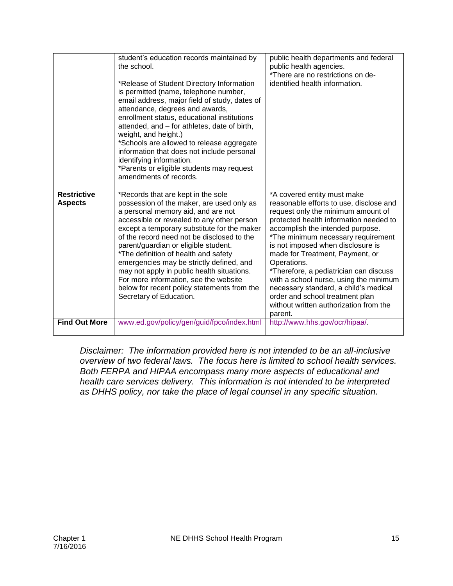|                                      | student's education records maintained by<br>the school.<br>*Release of Student Directory Information<br>is permitted (name, telephone number,<br>email address, major field of study, dates of<br>attendance, degrees and awards,<br>enrollment status, educational institutions<br>attended, and - for athletes, date of birth,<br>weight, and height.)<br>*Schools are allowed to release aggregate<br>information that does not include personal<br>identifying information.<br>*Parents or eligible students may request<br>amendments of records. | public health departments and federal<br>public health agencies.<br>*There are no restrictions on de-<br>identified health information.                                                                                                                                                    |
|--------------------------------------|---------------------------------------------------------------------------------------------------------------------------------------------------------------------------------------------------------------------------------------------------------------------------------------------------------------------------------------------------------------------------------------------------------------------------------------------------------------------------------------------------------------------------------------------------------|--------------------------------------------------------------------------------------------------------------------------------------------------------------------------------------------------------------------------------------------------------------------------------------------|
| <b>Restrictive</b><br><b>Aspects</b> | *Records that are kept in the sole<br>possession of the maker, are used only as<br>a personal memory aid, and are not<br>accessible or revealed to any other person                                                                                                                                                                                                                                                                                                                                                                                     | *A covered entity must make<br>reasonable efforts to use, disclose and<br>request only the minimum amount of<br>protected health information needed to                                                                                                                                     |
|                                      | except a temporary substitute for the maker<br>of the record need not be disclosed to the<br>parent/guardian or eligible student.<br>*The definition of health and safety<br>emergencies may be strictly defined, and<br>may not apply in public health situations.<br>For more information, see the website<br>below for recent policy statements from the                                                                                                                                                                                             | accomplish the intended purpose.<br>*The minimum necessary requirement<br>is not imposed when disclosure is<br>made for Treatment, Payment, or<br>Operations.<br>*Therefore, a pediatrician can discuss<br>with a school nurse, using the minimum<br>necessary standard, a child's medical |
|                                      | Secretary of Education.                                                                                                                                                                                                                                                                                                                                                                                                                                                                                                                                 | order and school treatment plan<br>without written authorization from the<br>parent.                                                                                                                                                                                                       |
| <b>Find Out More</b>                 | www.ed.gov/policy/gen/guid/fpco/index.html                                                                                                                                                                                                                                                                                                                                                                                                                                                                                                              | http://www.hhs.gov/ocr/hipaa/                                                                                                                                                                                                                                                              |

*Disclaimer: The information provided here is not intended to be an all-inclusive overview of two federal laws. The focus here is limited to school health services. Both FERPA and HIPAA encompass many more aspects of educational and health care services delivery. This information is not intended to be interpreted as DHHS policy, nor take the place of legal counsel in any specific situation.*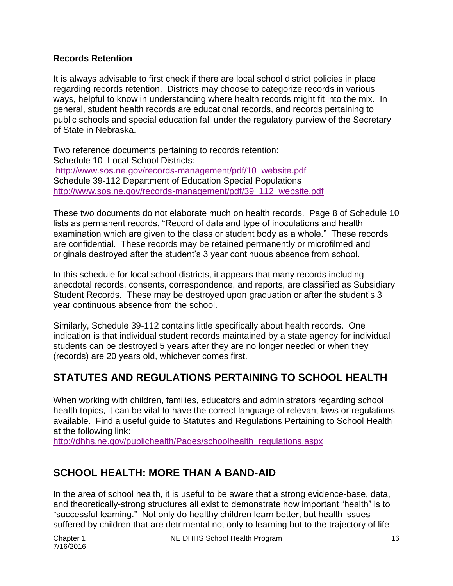#### **Records Retention**

It is always advisable to first check if there are local school district policies in place regarding records retention. Districts may choose to categorize records in various ways, helpful to know in understanding where health records might fit into the mix. In general, student health records are educational records, and records pertaining to public schools and special education fall under the regulatory purview of the Secretary of State in Nebraska.

Two reference documents pertaining to records retention: Schedule 10 Local School Districts: [http://www.sos.ne.gov/records-management/pdf/10\\_website.pdf](http://www.sos.ne.gov/records-management/pdf/10_website.pdf)  Schedule 39-112 Department of Education Special Populations http://www.sos.ne.gov/records-management/pdf/39\_112\_website.pdf

These two documents do not elaborate much on health records. Page 8 of Schedule 10 lists as permanent records, "Record of data and type of inoculations and health examination which are given to the class or student body as a whole." These records are confidential. These records may be retained permanently or microfilmed and originals destroyed after the student's 3 year continuous absence from school.

In this schedule for local school districts, it appears that many records including anecdotal records, consents, correspondence, and reports, are classified as Subsidiary Student Records. These may be destroyed upon graduation or after the student's 3 year continuous absence from the school.

Similarly, Schedule 39-112 contains little specifically about health records. One indication is that individual student records maintained by a state agency for individual students can be destroyed 5 years after they are no longer needed or when they (records) are 20 years old, whichever comes first.

## **STATUTES AND REGULATIONS PERTAINING TO SCHOOL HEALTH**

When working with children, families, educators and administrators regarding school health topics, it can be vital to have the correct language of relevant laws or regulations available. Find a useful guide to Statutes and Regulations Pertaining to School Health at the following link:

[http://dhhs.ne.gov/publichealth/Pages/schoolhealth\\_regulations.aspx](http://dhhs.ne.gov/publichealth/Pages/schoolhealth_regulations.aspx)

# **SCHOOL HEALTH: MORE THAN A BAND-AID**

In the area of school health, it is useful to be aware that a strong evidence-base, data, and theoretically-strong structures all exist to demonstrate how important "health" is to "successful learning." Not only do healthy children learn better, but health issues suffered by children that are detrimental not only to learning but to the trajectory of life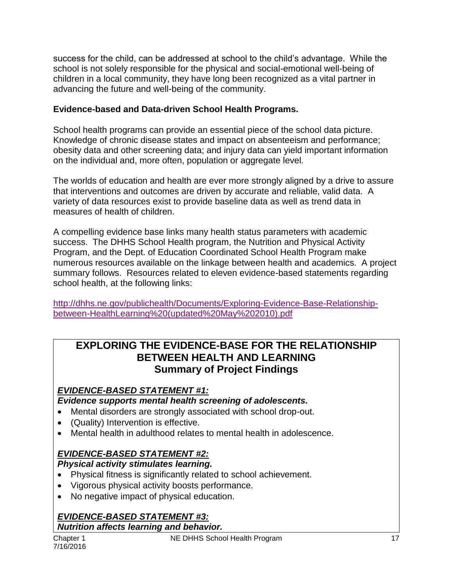success for the child, can be addressed at school to the child's advantage. While the school is not solely responsible for the physical and social-emotional well-being of children in a local community, they have long been recognized as a vital partner in advancing the future and well-being of the community.

#### **Evidence-based and Data-driven School Health Programs.**

School health programs can provide an essential piece of the school data picture. Knowledge of chronic disease states and impact on absenteeism and performance; obesity data and other screening data; and injury data can yield important information on the individual and, more often, population or aggregate level.

The worlds of education and health are ever more strongly aligned by a drive to assure that interventions and outcomes are driven by accurate and reliable, valid data. A variety of data resources exist to provide baseline data as well as trend data in measures of health of children.

A compelling evidence base links many health status parameters with academic success. The DHHS School Health program, the Nutrition and Physical Activity Program, and the Dept. of Education Coordinated School Health Program make numerous resources available on the linkage between health and academics. A project summary follows. Resources related to eleven evidence-based statements regarding school health, at the following links:

[http://dhhs.ne.gov/publichealth/Documents/Exploring-Evidence-Base-Relationship](http://dhhs.ne.gov/publichealth/Documents/Exploring-Evidence-Base-Relationship-between-HealthLearning%20(updated%20May%202010).pdf)[between-HealthLearning%20\(updated%20May%202010\).pdf](http://dhhs.ne.gov/publichealth/Documents/Exploring-Evidence-Base-Relationship-between-HealthLearning%20(updated%20May%202010).pdf)

#### **EXPLORING THE EVIDENCE-BASE FOR THE RELATIONSHIP BETWEEN HEALTH AND LEARNING Summary of Project Findings**

#### *EVIDENCE-BASED STATEMENT #1:*

*Evidence supports mental health screening of adolescents.*

- Mental disorders are strongly associated with school drop-out.
- (Quality) Intervention is effective.
- Mental health in adulthood relates to mental health in adolescence.

#### *EVIDENCE-BASED STATEMENT #2:*

#### *Physical activity stimulates learning.*

- Physical fitness is significantly related to school achievement.
- Vigorous physical activity boosts performance.
- No negative impact of physical education.

#### *EVIDENCE-BASED STATEMENT #3: Nutrition affects learning and behavior.*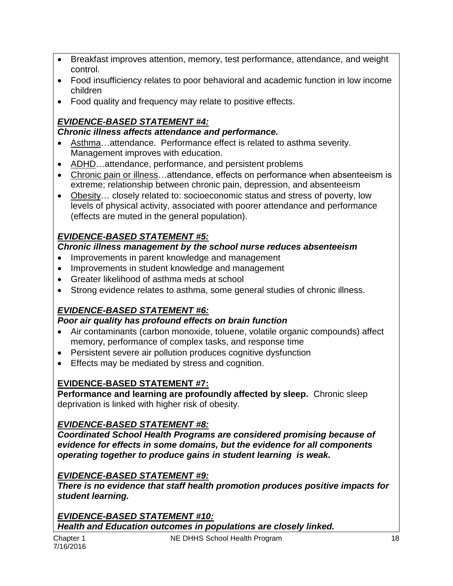- Breakfast improves attention, memory, test performance, attendance, and weight control.
- Food insufficiency relates to poor behavioral and academic function in low income children
- Food quality and frequency may relate to positive effects.

# *EVIDENCE-BASED STATEMENT #4:*

#### *Chronic illness affects attendance and performance.*

- Asthma…attendance. Performance effect is related to asthma severity. Management improves with education.
- ADHD…attendance, performance, and persistent problems
- Chronic pain or illness…attendance, effects on performance when absenteeism is extreme; relationship between chronic pain, depression, and absenteeism
- Obesity… closely related to: socioeconomic status and stress of poverty, low levels of physical activity, associated with poorer attendance and performance (effects are muted in the general population).

## *EVIDENCE-BASED STATEMENT #5:*

#### *Chronic illness management by the school nurse reduces absenteeism*

- Improvements in parent knowledge and management
- Improvements in student knowledge and management
- Greater likelihood of asthma meds at school
- Strong evidence relates to asthma, some general studies of chronic illness.

# *EVIDENCE-BASED STATEMENT #6:*

#### *Poor air quality has profound effects on brain function*

- Air contaminants (carbon monoxide, toluene, volatile organic compounds) affect memory, performance of complex tasks, and response time
- Persistent severe air pollution produces cognitive dysfunction
- **Effects may be mediated by stress and cognition.**

## **EVIDENCE-BASED STATEMENT #7:**

**Performance and learning are profoundly affected by sleep.** Chronic sleep deprivation is linked with higher risk of obesity.

## *EVIDENCE-BASED STATEMENT #8:*

*Coordinated School Health Programs are considered promising because of evidence for effects in some domains, but the evidence for all components operating together to produce gains in student learning is weak.*

## *EVIDENCE-BASED STATEMENT #9:*

*There is no evidence that staff health promotion produces positive impacts for student learning.*

*EVIDENCE-BASED STATEMENT #10: Health and Education outcomes in populations are closely linked.*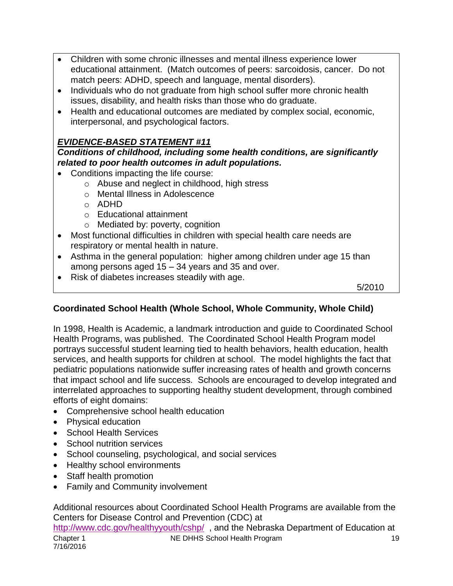- Children with some chronic illnesses and mental illness experience lower educational attainment. (Match outcomes of peers: sarcoidosis, cancer. Do not match peers: ADHD, speech and language, mental disorders).
- Individuals who do not graduate from high school suffer more chronic health issues, disability, and health risks than those who do graduate.
- Health and educational outcomes are mediated by complex social, economic, interpersonal, and psychological factors.

#### *EVIDENCE-BASED STATEMENT #11*

*Conditions of childhood, including some health conditions, are significantly related to poor health outcomes in adult populations.*

- Conditions impacting the life course:
	- o Abuse and neglect in childhood, high stress
	- o Mental Illness in Adolescence
	- o ADHD
	- o Educational attainment
	- o Mediated by: poverty, cognition
- Most functional difficulties in children with special health care needs are respiratory or mental health in nature.
- Asthma in the general population: higher among children under age 15 than among persons aged 15 – 34 years and 35 and over.
- Risk of diabetes increases steadily with age.

5/2010

#### **Coordinated School Health (Whole School, Whole Community, Whole Child)**

In 1998, Health is Academic, a landmark introduction and guide to Coordinated School Health Programs, was published. The Coordinated School Health Program model portrays successful student learning tied to health behaviors, health education, health services, and health supports for children at school. The model highlights the fact that pediatric populations nationwide suffer increasing rates of health and growth concerns that impact school and life success. Schools are encouraged to develop integrated and interrelated approaches to supporting healthy student development, through combined efforts of eight domains:

- Comprehensive school health education
- Physical education
- School Health Services
- School nutrition services
- School counseling, psychological, and social services
- Healthy school environments
- Staff health promotion
- Family and Community involvement

Chapter 1 **NE DHHS School Health Program** 19 7/16/2016 Additional resources about Coordinated School Health Programs are available from the Centers for Disease Control and Prevention (CDC) at <http://www.cdc.gov/healthyyouth/cshp/>, and the Nebraska Department of Education at